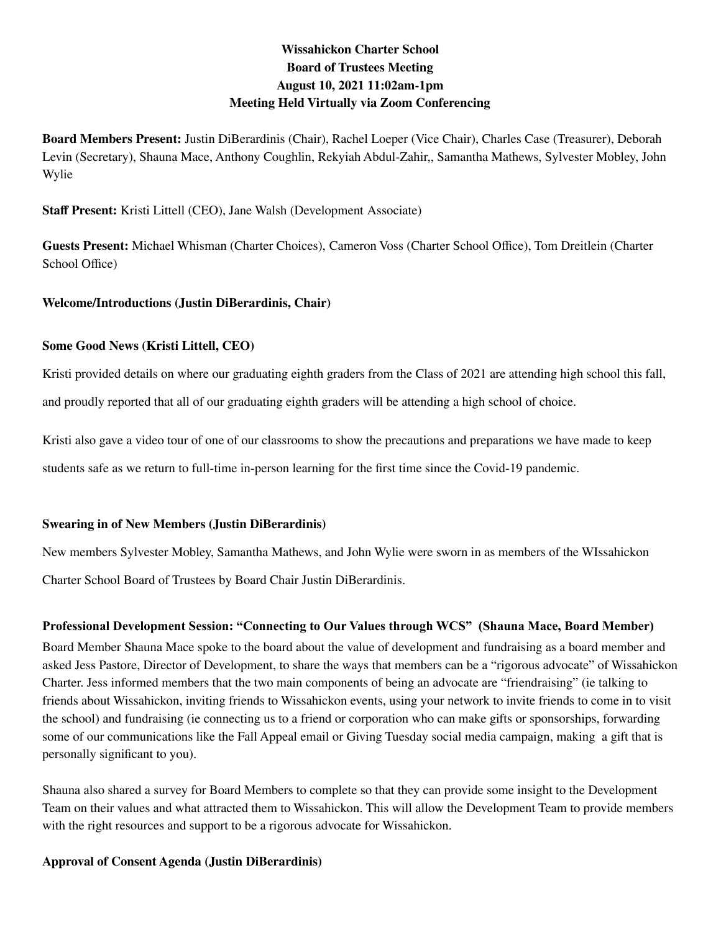# **Wissahickon Charter School Board of Trustees Meeting August 10, 2021 11:02am-1pm Meeting Held Virtually via Zoom Conferencing**

**Board Members Present:** Justin DiBerardinis (Chair), Rachel Loeper (Vice Chair), Charles Case (Treasurer), Deborah Levin (Secretary), Shauna Mace, Anthony Coughlin, Rekyiah Abdul-Zahir,, Samantha Mathews, Sylvester Mobley, John Wylie

**Staff Present:** Kristi Littell (CEO), Jane Walsh (Development Associate)

**Guests Present:** Michael Whisman (Charter Choices), Cameron Voss (Charter School Office), Tom Dreitlein (Charter School Office)

## **Welcome/Introductions (Justin DiBerardinis, Chair)**

## **Some Good News (Kristi Littell, CEO)**

Kristi provided details on where our graduating eighth graders from the Class of 2021 are attending high school this fall, and proudly reported that all of our graduating eighth graders will be attending a high school of choice.

Kristi also gave a video tour of one of our classrooms to show the precautions and preparations we have made to keep students safe as we return to full-time in-person learning for the first time since the Covid-19 pandemic.

## **Swearing in of New Members (Justin DiBerardinis)**

New members Sylvester Mobley, Samantha Mathews, and John Wylie were sworn in as members of the WIssahickon Charter School Board of Trustees by Board Chair Justin DiBerardinis.

## **Professional Development Session: "Connecting to Our Values through WCS" (Shauna Mace, Board Member)**

Board Member Shauna Mace spoke to the board about the value of development and fundraising as a board member and asked Jess Pastore, Director of Development, to share the ways that members can be a "rigorous advocate" of Wissahickon Charter. Jess informed members that the two main components of being an advocate are "friendraising" (ie talking to friends about Wissahickon, inviting friends to Wissahickon events, using your network to invite friends to come in to visit the school) and fundraising (ie connecting us to a friend or corporation who can make gifts or sponsorships, forwarding some of our communications like the Fall Appeal email or Giving Tuesday social media campaign, making a gift that is personally significant to you).

Shauna also shared a survey for Board Members to complete so that they can provide some insight to the Development Team on their values and what attracted them to Wissahickon. This will allow the Development Team to provide members with the right resources and support to be a rigorous advocate for Wissahickon.

## **Approval of Consent Agenda (Justin DiBerardinis)**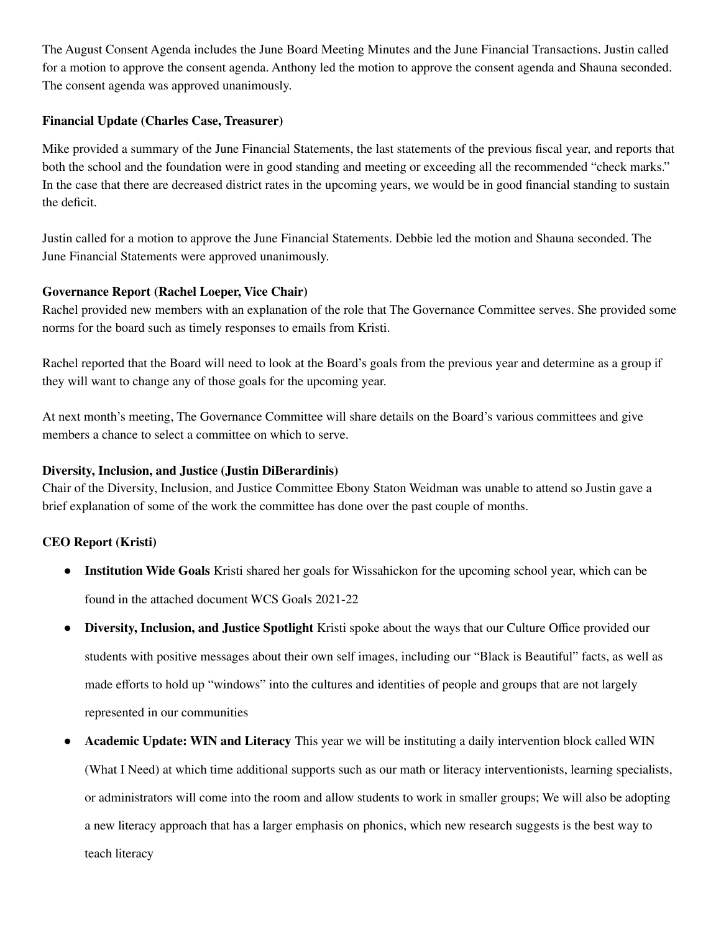The August Consent Agenda includes the June Board Meeting Minutes and the June Financial Transactions. Justin called for a motion to approve the consent agenda. Anthony led the motion to approve the consent agenda and Shauna seconded. The consent agenda was approved unanimously.

#### **Financial Update (Charles Case, Treasurer)**

Mike provided a summary of the June Financial Statements, the last statements of the previous fiscal year, and reports that both the school and the foundation were in good standing and meeting or exceeding all the recommended "check marks." In the case that there are decreased district rates in the upcoming years, we would be in good financial standing to sustain the deficit.

Justin called for a motion to approve the June Financial Statements. Debbie led the motion and Shauna seconded. The June Financial Statements were approved unanimously.

#### **Governance Report (Rachel Loeper, Vice Chair)**

Rachel provided new members with an explanation of the role that The Governance Committee serves. She provided some norms for the board such as timely responses to emails from Kristi.

Rachel reported that the Board will need to look at the Board's goals from the previous year and determine as a group if they will want to change any of those goals for the upcoming year.

At next month's meeting, The Governance Committee will share details on the Board's various committees and give members a chance to select a committee on which to serve.

#### **Diversity, Inclusion, and Justice (Justin DiBerardinis)**

Chair of the Diversity, Inclusion, and Justice Committee Ebony Staton Weidman was unable to attend so Justin gave a brief explanation of some of the work the committee has done over the past couple of months.

## **CEO Report (Kristi)**

- **● Institution Wide Goals** Kristi shared her goals for Wissahickon for the upcoming school year, which can be found in the attached document WCS Goals 2021-22
- **● Diversity, Inclusion, and Justice Spotlight** Kristi spoke about the ways that our Culture Office provided our students with positive messages about their own self images, including our "Black is Beautiful" facts, as well as made efforts to hold up "windows" into the cultures and identities of people and groups that are not largely represented in our communities
- **Academic Update: WIN and Literacy** This year we will be instituting a daily intervention block called WIN (What I Need) at which time additional supports such as our math or literacy interventionists, learning specialists, or administrators will come into the room and allow students to work in smaller groups; We will also be adopting a new literacy approach that has a larger emphasis on phonics, which new research suggests is the best way to teach literacy